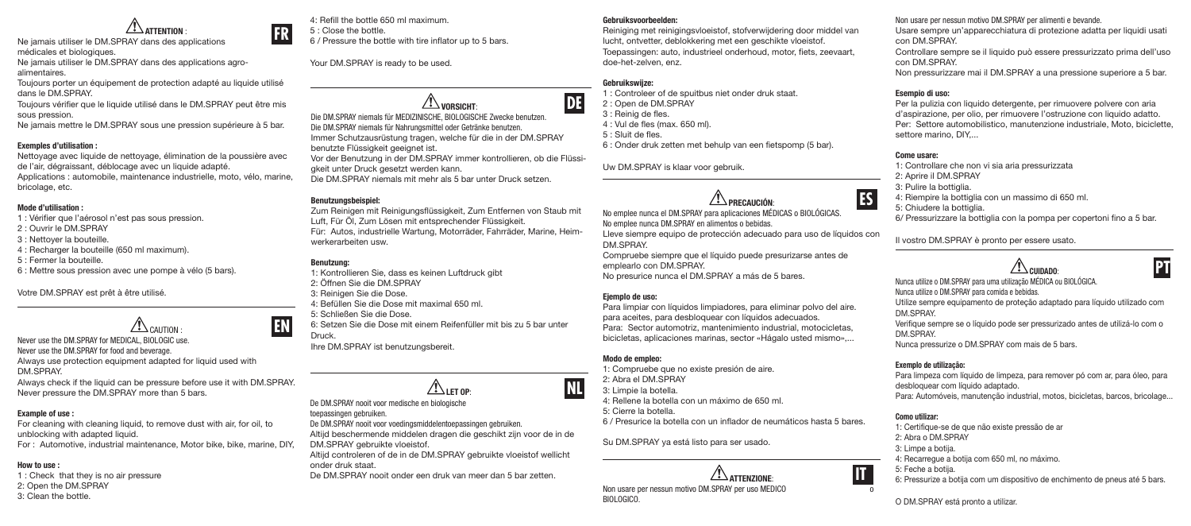**FR ATTENTION :**<br>Ne jamais utiliser le DM.SPRAY dans des applications médicales et biologiques. Ne jamais utiliser le DM.SPRAY dans des applications agroalimentaires.

Toujours porter un équipement de protection adapté au liquide utilisé dans le DM.SPRAY.

Toujours vérifier que le liquide utilisé dans le DM.SPRAY peut être mis sous pression.

Ne jamais mettre le DM.SPRAY sous une pression supérieure à 5 bar.

#### Exemples d'utilisation :

Nettoyage avec liquide de nettoyage, élimination de la poussière avec de l'air, dégraissant, déblocage avec un liquide adapté. Applications : automobile, maintenance industrielle, moto, vélo, marine, bricolage, etc.

#### Mode d'utilisation :

- 1 : Vérifier que l'aérosol n'est pas sous pression.
- 2 : Ouvrir le DM.SPRAY
- 3 : Nettoyer la bouteille.
- 4 : Recharger la bouteille (650 ml maximum).
- 5 : Fermer la bouteille.

6 : Mettre sous pression avec une pompe à vélo (5 bars).

Votre DM.SPRAY est prêt à être utilisé.



Never use the DM.SPRAY for MEDICAL, BIOLOGIC use. Never use the DM.SPRAY for food and beverage. Always use protection equipment adapted for liquid used with DM.SPRAY. Always check if the liquid can be pressure before use it with DM.SPRAY.

Never pressure the DM.SPRAY more than 5 bars.

# Example of use :

For cleaning with cleaning liquid, to remove dust with air, for oil, to unblocking with adapted liquid. For : Automotive, industrial maintenance, Motor bike, bike, marine, DIY,

# How to use :

- 1 : Check that they is no air pressure
- 2: Open the DM.SPRAY
- 3: Clean the bottle.

4: Refill the bottle 650 ml maximum. 5 : Close the bottle. 6 / Pressure the bottle with tire inflator up to 5 bars.

Your DM.SPRAY is ready to be used.

 $\sqrt{1}$  vorsicht Die DM.SPRAY niemals für MEDIZINISCHE, BIOLOGISCHE Zwecke benutzen. Die DM.SPRAY niemals für Nahrungsmittel oder Getränke benutzen. Immer Schutzausrüstung tragen, welche für die in der DM.SPRAY benutzte Flüssigkeit geeignet ist. Vor der Benutzung in der DM.SPRAY immer kontrollieren, ob die Flüssigkeit unter Druck gesetzt werden kann. Die DM.SPRAY niemals mit mehr als 5 bar unter Druck setzen.

# Benutzungsbeispiel:

Zum Reinigen mit Reinigungsflüssigkeit, Zum Entfernen von Staub mit Luft, Für Öl, Zum Lösen mit entsprechender Flüssigkeit. Für: Autos, industrielle Wartung, Motorräder, Fahrräder, Marine, Heimwerkerarbeiten usw.

# Benutzung:

**EN**

1: Kontrollieren Sie, dass es keinen Luftdruck gibt 2: Öffnen Sie die DM.SPRAY 3: Reinigen Sie die Dose. 4: Befüllen Sie die Dose mit maximal 650 ml. 5: Schließen Sie die Dose. 6: Setzen Sie die Dose mit einem Reifenfüller mit bis zu 5 bar unter Druck.

Ihre DM.SPRAY ist benutzungsbereit.



De DM.SPRAY nooit voor medische en biologische

- toepassingen gebruiken. De DM.SPRAY nooit voor voedingsmiddelentoepassingen gebruiken.
- Altijd beschermende middelen dragen die geschikt zijn voor de in de
- DM.SPRAY gebruikte vloeistof.

Altijd controleren of de in de DM.SPRAY gebruikte vloeistof wellicht onder druk staat.

De DM.SPRAY nooit onder een druk van meer dan 5 bar zetten.

### Gebruiksvoorbeelden:

Reiniging met reinigingsvloeistof, stofverwijdering door middel van lucht, ontvetter, deblokkering met een geschikte vloeistof. Toepassingen: auto, industrieel onderhoud, motor, fiets, zeevaart, doe-het-zelven, enz.

# Gebruikswijze:

**DE**

**NL**

1 : Controleer of de spuitbus niet onder druk staat. 2 : Open de DM.SPRAY 3 : Reinig de fles. 4 : Vul de fles (max. 650 ml). 5 : Sluit de fles. 6 : Onder druk zetten met behulp van een fietspomp (5 bar).

Uw DM.SPRAY is klaar voor gebruik.

# $\sqrt{2}$  PRECAUCIÓN

No emplee nunca el DM.SPRAY para aplicaciones MÉDICAS o BIOLÓGICAS. No emplee nunca DM.SPRAY en alimentos o bebidas.

Lleve siempre equipo de protección adecuado para uso de líquidos con DM.SPRAY.

Compruebe siempre que el líquido puede presurizarse antes de emplearlo con DM.SPRAY. No presurice nunca el DM.SPRAY a más de 5 bares.

# Ejemplo de uso:

Para limpiar con líquidos limpiadores, para eliminar polvo del aire. para aceites, para desbloquear con líquidos adecuados. Para: Sector automotriz, mantenimiento industrial, motocicletas, bicicletas, aplicaciones marinas, sector «Hágalo usted mismo»,...

### Modo de empleo:

1: Compruebe que no existe presión de aire. 2: Abra el DM.SPRAY 3: Limpie la botella. 4: Rellene la botella con un máximo de 650 ml. 5: Cierre la botella. 6 / Presurice la botella con un inflador de neumáticos hasta 5 bares.

Su DM.SPRAY ya está listo para ser usado.

ATTENZIONE: **IT** Non usare per nessun motivo DM.SPRAY per uso MEDICO BIOLOGICO.

#### Non usare per nessun motivo DM.SPRAY per alimenti e bevande. Usare sempre un'apparecchiatura di protezione adatta per liquidi usati con DM.SPRAY. Controllare sempre se il liquido può essere pressurizzato prima dell'uso con DM.SPRAY.

Non pressurizzare mai il DM.SPRAY a una pressione superiore a 5 bar.

# Esempio di uso:

Per la pulizia con liquido detergente, per rimuovere polvere con aria d'aspirazione, per olio, per rimuovere l'ostruzione con liquido adatto. Per: Settore automobilistico, manutenzione industriale, Moto, biciclette, settore marino, DIY

#### Come usare:

**ES**

1: Controllare che non vi sia aria pressurizzata 2: Aprire il DM.SPRAY 3: Pulire la bottiglia.

4: Riempire la bottiglia con un massimo di 650 ml.

5: Chiudere la bottiglia.

6/ Pressurizzare la bottiglia con la pompa per copertoni fino a 5 bar.

Il vostro DM.SPRAY è pronto per essere usato.

# $\sqrt{N}$  CUIDADO:

Nunca utilize o DM.SPRAY para uma utilização MÉDICA ou BIOLÓGICA. Nunca utilize o DM.SPRAY para comida e bebidas. Utilize sempre equipamento de proteção adaptado para líquido utilizado com DM.SPRAY. Verifique sempre se o líquido pode ser pressurizado antes de utilizá-lo com o DM.SPRAY.

Nunca pressurize o DM.SPRAY com mais de 5 bars.

# Exemplo de utilização:

Para limpeza com líquido de limpeza, para remover pó com ar, para óleo, para desbloquear com líquido adaptado.

Para: Automóveis, manutenção industrial, motos, bicicletas, barcos, bricolage...

# Como utilizar:

1: Certifique-se de que não existe pressão de ar 2: Abra o DM.SPRAY 3: Limpe a botija. 4: Recarregue a botija com 650 ml, no máximo. 5: Feche a botija. 6: Pressurize a botija com um dispositivo de enchimento de pneus até 5 bars.

O DM.SPRAY está pronto a utilizar.



**PT**